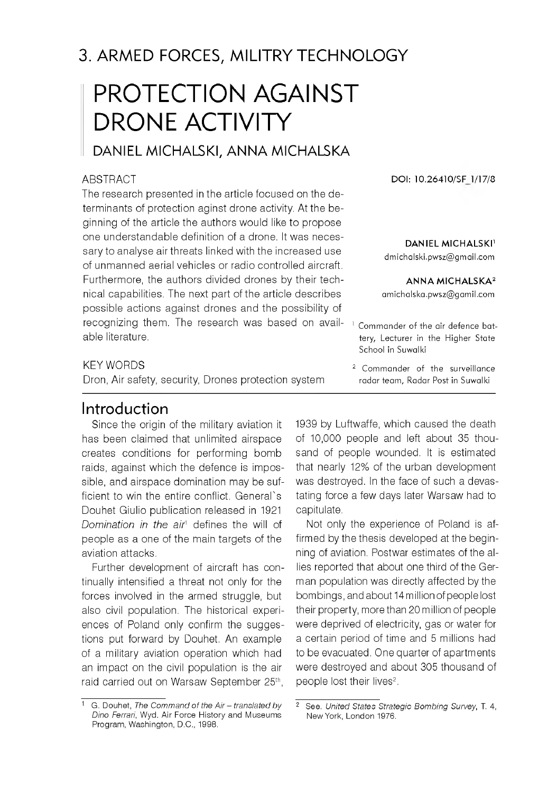# 3. ARMED FORCES, MILITRY TECHNOLOGY

# PROTECTION AGAINST DRONE ACTIVITY

# DANIEL MICHALSKI, ANNA MICHALSKA

### **ABSTRACT**

The research presented in the article focused on the determinants of protection aginst drone activity. At the beginning of the article the authors would like to propose one understandable definition of a drone. It was necessary to analyse air threats linked with the increased use of unmanned aerial vehicles or radio controlled aircraft. Furthermore, the authors divided drones by their technical capabilities. The next part of the article describes possible actions against drones and the possibility of recognizing them. The research was based on available literature.

#### KEY WORDS

Dron, Air safety, security, Drones protection system

### Introduction

Since the origin of the military aviation it has been claimed that unlimited airspace creates conditions for performing bomb raids, against which the defence is impossible, and airspace domination may be sufficient to win the entire conflict. General's Douhet Giulio publication released in 1921 *Domination in the air1* defines the will of people as a one of the main targets of the aviation attacks.

Further development of aircraft has continually intensified a threat not only for the forces involved in the armed struggle, but also civil population. The historical experiences of Poland only confirm the suggestions put forward by Douhet. An example of a military aviation operation which had an impact on the civil population is the air raid carried out on Warsaw September 25<sup>th</sup>,

**DOI: 10.26410/SF 1/17/8**

#### **DANIEL MICHALSKI**

d michalski.pwsz@ gm ail.com

#### **A N N A M IC H A LSK A 2**

[am ich alska .p w sz@ gam il.com](mailto:amichalska.pwsz@gamil.com)

<sup>1</sup> Commander of the air defence battery, Lecturer in the Higher State School in Suwalki

 $2$  Commander of the surveillance radar team, Radar Post in Suwalki

1939 by Luftwaffe, which caused the death of 10,000 people and left about 35 thousand of people wounded. It is estimated that nearly 12% of the urban development was destroyed. In the face of such a devastating force a few days later Warsaw had to capitulate.

Not only the experience of Poland is affirmed by the thesis developed at the beginning of aviation. Postwar estimates of the allies reported that about one third of the German population was directly affected by the bombings, and about 14 million of people lost their property, more than 20 million of people were deprived of electricity, gas or water for a certain period of time and 5 millions had to be evacuated. One quarter of apartments were destroyed and about 305 thousand of people lost their lives<sup>2</sup>.

<sup>&</sup>lt;sup>1</sup> G. Douhet, The Command of the Air - translated by <sup>2</sup> See. United States Strategic Bombing Survey, T. 4, *Dino Ferrari*, Wyd. Air Force History and Museums New York, London 1976. Program, Washington, D.C., 1998.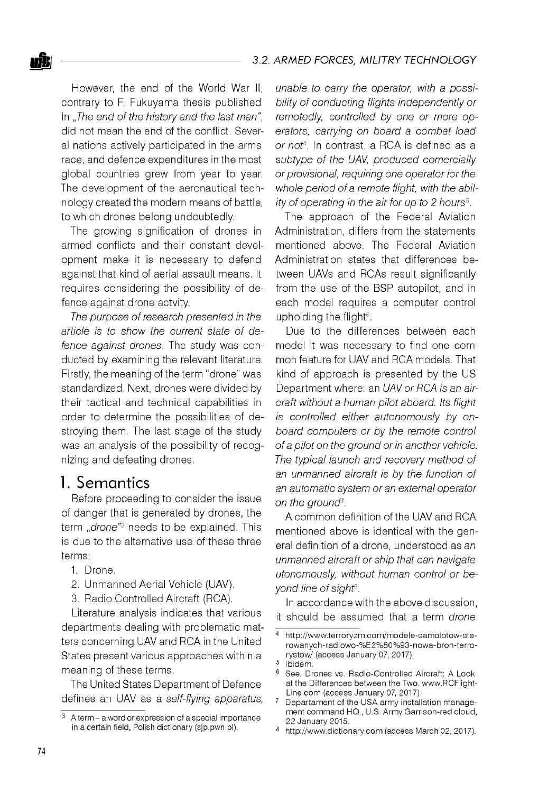However, the end of the World War II, contrary to F. Fukuyama thesis published in "*The end of the history and the last man",* did not mean the end of the conflict. Several nations actively participated in the arms race, and defence expenditures in the most global countries grew from year to year. The development of the aeronautical technology created the modern means of battle, to which drones belong undoubtedly.

The growing signification of drones in armed conflicts and their constant development make it is necessary to defend against that kind of aerial assault means. It requires considering the possibility of defence against drone actvity.

*The purpose of research presented in the article is to show the current state of defence against drones.* The study was conducted by examining the relevant literature. Firstly, the meaning of the term "drone" was standardized. Next, drones were divided by their tactical and technical capabilities in order to determine the possibilities of destroying them. The last stage of the study was an analysis of the possibility of recognizing and defeating drones.

### 1. Semantics

Before proceeding to consider the issue of danger that is generated by drones, the term *"drone"3* needs to be explained. This is due to the alternative use of these three terms:

- 1. Drone.
- 2. Unmanned Aerial Vehicle (UAV).
- 3. Radio Controlled Aircraft (RCA).

Literature analysis indicates that various departments dealing with problematic matters concerning UAV and RCA in the United States present various approaches within a meaning of these terms.

The United States Department of Defence defines an UAV as a *self-flying apparatus,* *unable to carry the operator, with a possibility of conducting flights independently or remotedly, controlled by one or more operators, carrying on board a combat load or not4.* In contrast, a RCA is defined as a *subtype of the UAV, produced comercially or provisional, requiring one operator for the whole period of a remote flight, with the ability of operating in the air for up to 2 hours5.*

The approach of the Federal Aviation Administration, differs from the statements mentioned above. The Federal Aviation Administration states that differences between UAVs and RCAs result significantly from the use of the BSP autopilot, and in each model requires a computer control upholding the flight<sup>6</sup>.

Due to the differences between each model it was necessary to find one common feature for UAV and RCA models. That kind of approach is presented by the US Department where: an *UAV or RCA is an aircraft without a human pilot aboard. Its flight is controlled either autonomously by onboard computers or by the remote control of a pilot on the ground or in another vehicle. The typical launch and recovery method of an unmanned aircraft is by the function of an automatic system or an external operator on the ground7.*

A common definition of the UAV and RCA mentioned above is identical with the general definition of a drone, understood as *an unmanned aircraft or ship that can navigate utonomously, without human control or beyond line of sight8.*

In accordance with the above discussion, it should be assumed that a term *drone*

 $3$  A term – a word or expression of a special importance in a certain field, Polish dictionary (sjp.pwn.pl).

http://www.terroryzm.com/modele-samolotow-sterowanych-radiowo-%E2%80%93-nowa-bron-terrorystow/ (access January 07, 2017).

<sup>&</sup>lt;sup>5</sup> Ibidem.

<sup>6</sup> See. Drones vs. Radio-Controlled Aircraft: A Look at the Differences between the Two. www.RCFlight-Line.com (access January 07, 2017).

Departament of the USA army installation management command HQ., U.S. Army Garrison-red cloud, 22 January 2015.

<sup>8</sup> <http://www.dictionary.com> (access March 02, 2017).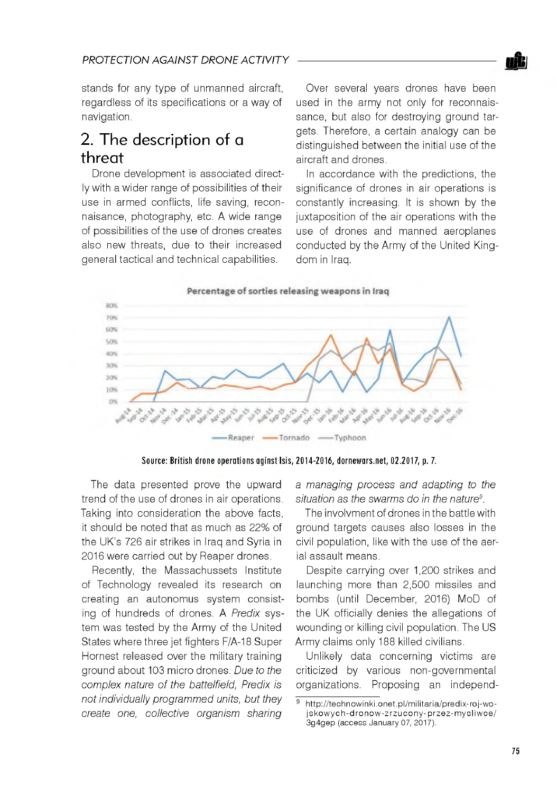

stands for any type of unmanned aircraft, regardless of its specifications or a way of navigation.

# 2. The description of a threat

Drone development is associated directly with a wider range of possibilities of their use in armed conflicts, life saving, reconnaisance, photography, etc. A wide range of possibilities of the use of drones creates also new threats, due to their increased general tactical and technical capabilities.

Over several years drones have been used in the army not only for reconnaissance, but also for destroving ground targets. Therefore, a certain analogy can be distinguished between the initial use of the aircraft and drones.

In accordance with the predictions, the significance of drones in air operations is constantly increasing. It is shown by the juxtaposition of the air operations with the use of drones and manned aeroplanes conducted by the Army of the United Kingdom in Iraq.

Percentage of sorties releasing weapons in Irag



Source: British drone operations aginst Isis, 2014-2016, dornewars.net, 02.2017, p. 7.

The data presented prove the upward trend of the use of drones in air operations. Taking into consideration the above facts, it should be noted that as much as 22% of the UK's 726 air strikes in Iraq and Syria in 2016 were carried out by Reaper drones.

Recently, the Massachussets Institute of Technology revealed its research on creating an autonomus system consisting of hundreds of drones. A *Predix* system was tested by the Army of the United States where three jet fighters F/A-18 Super Hornest released over the military training ground about 103 micro drones. *Due to the complex nature of the battelfield, Predix is not individually programmed units, but they create one, collective organism sharing*

*a managing process and adapting to the situation as the swarms do in the nature9.*

The involvment of drones in the battle with ground targets causes also losses in the civil population, like with the use of the aerial assault means.

Despite carrying over 1,200 strikes and launching more than 2,500 missiles and bombs (until December, 2016) MoD of the UK officially denies the allegations of wounding or killing civil population. The US Army claims only 188 killed civilians.

Unlikely data concerning victims are criticized by various non-governmental organizations. Proposing an independ-

http://technowinki.onet.pl/militaria/predix-roj-wojskowych-dronow-zrzucony-przez-mysliwce/ 3g4gep (access January 07, 2017).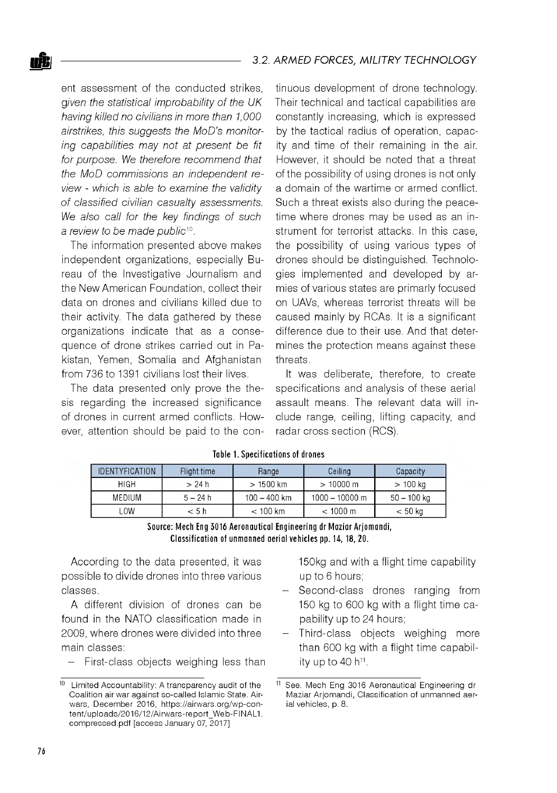ent assessment of the conducted strikes *given the statistical improbability of the UK having killed no civilians in more than 1,000 airstrikes, this suggests the MoD's monitoring capabilities may not at present be fit for purpose. We therefore recommend that the MoD commissions an independent review - which is able to examine the validity of classified civilian casualty assessments. We also call for the key findings of such a review to be made public10.*

The information presented above makes independent organizations, especially Bureau of the Investigative Journalism and the New American Foundation, collect their data on drones and civilians killed due to their activity. The data gathered by these organizations indicate that as a consequence of drone strikes carried out in Pakistan, Yemen, Somalia and Afghanistan from 736 to 1391 civilians lost their lives.

The data presented only prove the thesis regarding the increased significance of drones in current armed conflicts. However, attention should be paid to the continuous development of drone technology. Their technical and tactical capabilities are constantly increasing, which is expressed by the tactical radius of operation, capacity and time of their remaining in the air. However, it should be noted that a threat of the possibility of using drones is not only a domain of the wartime or armed conflict. Such a threat exists also during the peacetime where drones may be used as an instrument for terrorist attacks. In this case, the possibility of using various types of drones should be distinguished. Technologies implemented and developed by armies of various states are primarly focused on UAVs, whereas terrorist threats will be caused mainly by RCAs. It is a significant difference due to their use. And that determines the protection means against these threats.

It was deliberate, therefore, to create specifications and analysis of these aerial assault means. The relevant data will include range, ceiling, lifting capacity, and radar cross section (RCS).

| <b>IDENTYFICATION</b> | Flight time | Range          | Ceiling            | Capacity      |
|-----------------------|-------------|----------------|--------------------|---------------|
| <b>HIGH</b>           | > 24 h      | $>1500$ km     | $>10000$ m         | $>100$ ka     |
| MEDIUM                | $5 - 24 h$  | $100 - 400$ km | $1000 - 10000$ m   | $50 - 100$ ka |
| .ow                   | < 5 h       | $<$ 100 km     | $< 1000 \text{ m}$ | $< 50$ kg     |

#### **Table 1. Specifications of drones**

Source: Mech Eng 3016 Aeronautical Engineering dr Maziar Ariomandi, Classification of unmanned aerial vehicles pp. 14, 18, 20.

According to the data presented, it was possible to divide drones into three various classes.

A different division of drones can be found in the NATO classification made in 2009, where drones were divided into three main classes:

First-class objects weighing less than

150kg and with a flight time capability up to 6 hours;

- Second-class drones ranging from 150 kg to 600 kg with a flight time capability up to 24 hours;
- Third-class objects weighing more than 600 kg with a flight time capability up to 40  $h^{11}$ .

 $10$  Limited Accountability: A transparency audit of the Coalition air war against so-called Islamic State. Airwars, December 2016, https://airwars.org/wp-content/uploads/2016/12/Airwars-report\_Web-FINAL1. compressed.pdf [access January 07, 2017]

<sup>11</sup> See. Mech Eng 3016 Aeronautical Engineering dr Maziar Arjomandi, Classification of unmanned aerial vehicles, p. 8.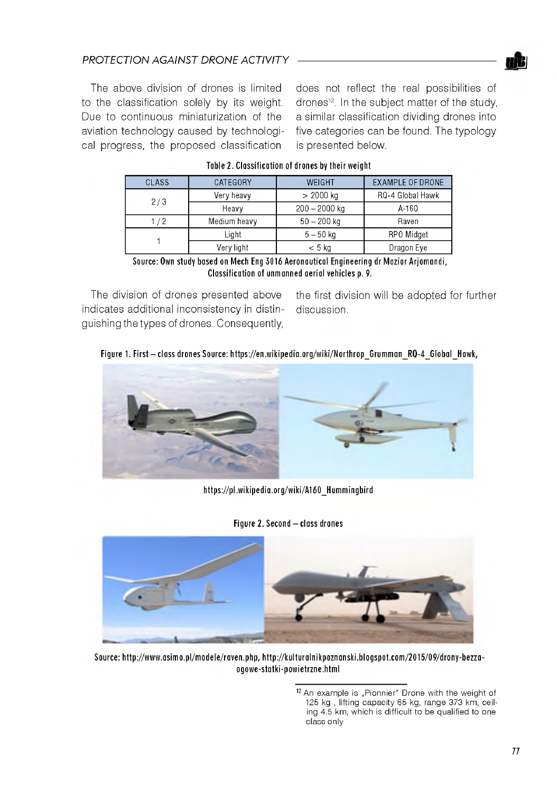### **PROTECTION AGAINST DRONE ACTIVITY**

The above division of drones is limited to the classification solely by its weight. Due to continuous miniaturization of the aviation technology caused by technological progress, the proposed classification

does not reflect the real possibilities of drones<sup>12</sup>. In the subject matter of the study, a similar classification dividing drones into five categories can be found. The typology is presented below.

<u>njp</u>

| CLASS                                                                               | CATEGORY     | WEIGHT          | <b>EXAMPLE OF DRONE</b> |  |
|-------------------------------------------------------------------------------------|--------------|-----------------|-------------------------|--|
| 2/3                                                                                 | Very heavy   | $> 2000$ kg     | RQ-4 Global Hawk        |  |
|                                                                                     | Heavy        | $200 - 2000$ kg | A-160                   |  |
| 1/2                                                                                 | Medium heavy | $50 - 200$ kg   | Raven                   |  |
|                                                                                     | Liaht        | $5 - 50$ ka     | RPO Midget              |  |
|                                                                                     | Very light   | $< 5$ kg        | Dragon Eye              |  |
| Prince: And studied and the Mich For 7047 Associated Fortecentra deMartin Astronomi |              |                 |                         |  |

#### Table 2. Classification of drones by their weight

Source: Own study based on Mech Eng 3016 Aeronautical Engineering dr Maziar Ariomandi, **Classification of unmanned aerial vehicles p. 9.** 

indicates additional inconsistency in distin- discussion. guishing the types of drones. Consequently,

The division of drones presented above the first division will be adopted for further

#### Figure 1. First - class drones Source: https://en.wikipedia.org/wiki/Northrop Grumman RQ-4 Global Hawk,



**[h ttp s ://p l.w ik ip e d ia .o rg /w ik i/A 1 6 0 \\_ H u m m in g b ird](https://pl.wikipedia.org/wiki/A160_Hummingbird)**

**Figure 2. Second - class drones** 



Source: http://www.asimo.pl/modele/raven.php, http://kulturalnikpoznanski.blogspot.com/2015/09/drony-bezza**o g o w e -s ta tk i-p o w ie trz n e .h tm l**

<sup>12</sup> An example is "Pionnier" Drone with the weight of 125 kg , lifting capacity 65 kg, range 373 km, ceiling 4.5 km, which is difficult to be qualified to one class only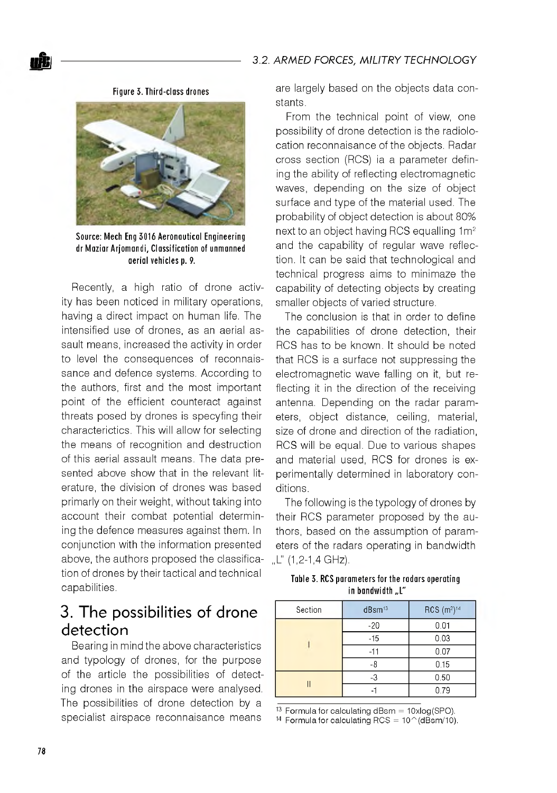**Fig u re 3 . T h ird -c la s s dro nes**



**Source: Mech Eng 3016 Aeronautical Engineering dr M a z ia r A rjo m a n d i, C la s s ific a tio n of un m an n e d a e ria l v e h ic le s p. 9.**

Recently, a high ratio of drone activity has been noticed in military operations, having a direct impact on human life. The intensified use of drones, as an aerial assault means, increased the activity in order to level the consequences of reconnaissance and defence systems. According to the authors, first and the most important point of the efficient counteract against threats posed by drones is specyfing their characterictics. This will allow for selecting the means of recognition and destruction of this aerial assault means. The data presented above show that in the relevant literature, the division of drones was based primarly on their weight, without taking into account their combat potential determining the defence measures against them. In conjunction with the information presented above, the authors proposed the classification of drones by their tactical and technical capabilities.

# 3. The possibilities of drone detection

Bearing in mind the above characteristics and typology of drones, for the purpose of the article the possibilities of detecting drones in the airspace were analysed. The possibilities of drone detection by a specialist airspace reconnaisance means

are largely based on the objects data constants.

From the technical point of view, one possibility of drone detection is the radiolocation reconnaisance of the objects. Radar cross section (RCS) ia a parameter defining the ability of reflecting electromagnetic waves, depending on the size of object surface and type of the material used. The probability of object detection is about 80% next to an object having RCS equalling 1m<sup>2</sup> and the capability of regular wave reflection. It can be said that technological and technical progress aims to minimaze the capability of detecting objects by creating smaller objects of varied structure.

The conclusion is that in order to define the capabilities of drone detection, their RCS has to be known. It should be noted that RCS is a surface not suppressing the electromagnetic wave falling on it, but reflecting it in the direction of the receiving antenna. Depending on the radar parameters, object distance, ceiling, material, size of drone and direction of the radiation, RCS will be equal. Due to various shapes and material used, RCS for drones is experimentally determined in laboratory conditions.

The following is the typology of drones by their RCS parameter proposed by the authors, based on the assumption of parameters of the radars operating in bandwidth .L" (1,2-1,4 GHz).

Table 3. RCS parameters for the radars operating in bandwidth "L"

| Section | $dB$ sm $13$ | $RCS$ (m <sup>2</sup> ) <sup>14</sup> |
|---------|--------------|---------------------------------------|
|         | $-20$        | 0.01                                  |
|         | $-15$        | 0.03                                  |
|         | $-11$        | 0.07                                  |
|         | -8           | 0.15                                  |
|         | -3           | 0.50                                  |
|         |              | 0.79                                  |

13 Formula for calculating dBsm =  $10xlog(SPO)$ . <sup>14</sup> Formula for calculating RCS =  $10^\circ$  (dBsm/10).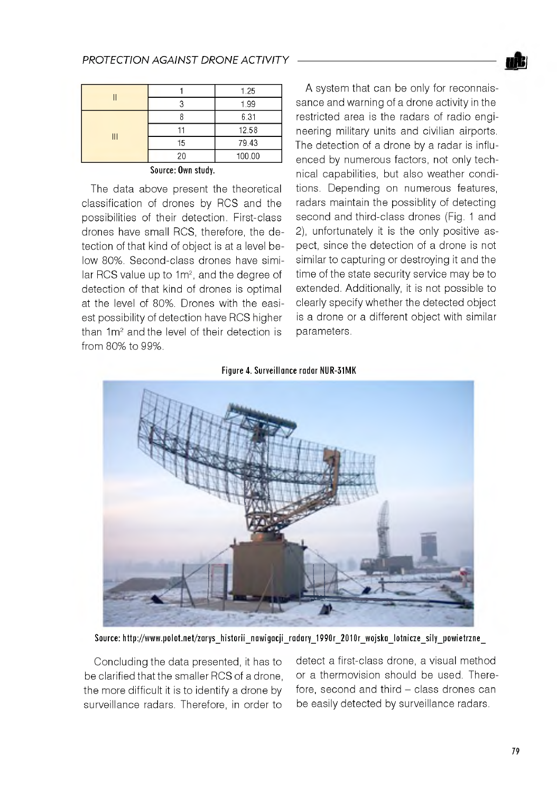### **PROTECTION AGAINST DRONE ACTIVITY**

|                |    | 1.25   |
|----------------|----|--------|
|                |    | 1.99   |
| $\mathsf{III}$ |    | 6.31   |
|                |    | 12.58  |
|                | 15 | 79.43  |
|                | 20 | 100.00 |

**S ou rce: Own study.**

The data above present the theoretical classification of drones by RCS and the possibilities of their detection. First-class drones have small RCS, therefore, the detection of that kind of object is at a level below 80%. Second-class drones have similar RCS value up to 1m<sup>2</sup>, and the degree of detection of that kind of drones is optimal at the level of 80%. Drones with the easiest possibility of detection have RCS higher than 1m<sup>2</sup> and the level of their detection is from 80% to 99%.

A system that can be only for reconnaissance and warning of a drone activity in the restricted area is the radars of radio engineering military units and civilian airports. The detection of a drone by a radar is influenced by numerous factors, not only technical capabilities, but also weather conditions. Depending on numerous features, radars maintain the possiblity of detecting second and third-class drones (Fig. 1 and 2), unfortunately it is the only positive aspect, since the detection of a drone is not similar to capturing or destroying it and the time of the state security service may be to extended. Additionally, it is not possible to clearly specify whether the detected object is a drone or a different object with similar parameters.

**Figure 4. Surveillance radar NUR-31MK** 



Source: http://www.polot.net/zarys historii nawigacji radary 1990r 2010r wojska lotnicze sily powietrzne

Concluding the data presented, it has to be clarified that the smaller RCS of a drone, the more difficult it is to identify a drone by surveillance radars. Therefore, in order to

detect a first-class drone, a visual method or a thermovision should be used. Therefore, second and third - class drones can be easily detected by surveillance radars.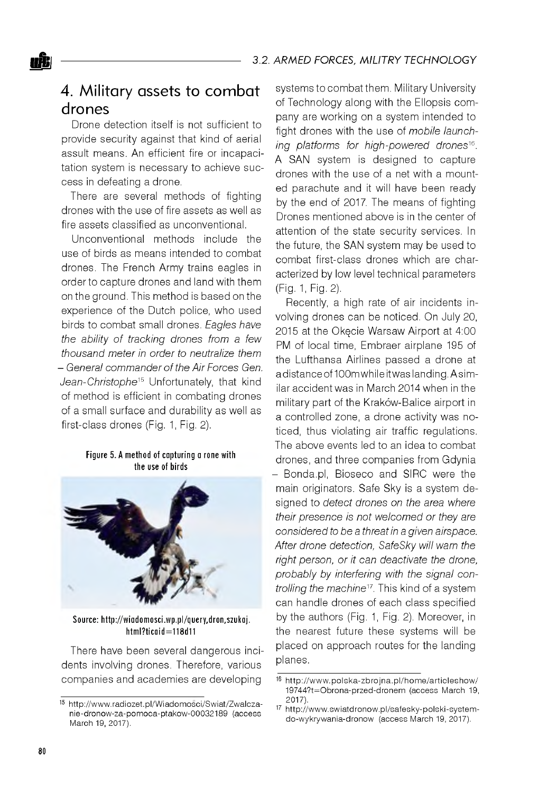## 4. Military assets to combat drones

Drone detection itself is not sufficient to provide security against that kind of aerial assult means. An efficient fire or incapacitation system is necessary to achieve success in defeating a drone.

There are several methods of fighting drones with the use of fire assets as well as fire assets classified as unconventional.

Unconventional methods include the use of birds as means intended to combat drones. The French Army trains eagles in order to capture drones and land with them on the ground. This method is based on the experience of the Dutch police, who used birds to combat small drones. *Eagles have the ability of tracking drones from a few thousand meter in order to neutralize them - General commander of the Air Forces Gen. Jean-Christophe*15 Unfortunately, that kind of method is efficient in combating drones of a small surface and durability as well as first-class drones (Fig. 1, Fig. 2).

#### Figure 5. A method of capturing a rone with the use of **birds**



Source: http://wiadomosci.wp.pl/query,dron,szukaj. **h tm l? tic a id = 1 1 8 d 1 1**

There have been several dangerous incidents involving drones. Therefore, various companies and academies are developing

systems to combat them. Military University of Technology along with the Ellopsis company are working on a system intended to fight drones with the use of *mobile launching platforms for high-powered drones*16. A SAN system is designed to capture drones with the use of a net with a mounted parachute and it will have been ready by the end of 2017. The means of fighting Drones mentioned above is in the center of attention of the state security services. In the future, the SAN system may be used to combat first-class drones which are characterized by low level technical parameters (Fig. 1, Fig. 2).

Recently, a high rate of air incidents involving drones can be noticed. On July 20, 2015 at the Okęcie Warsaw Airport at 4:00 PM of local time, Embraer airplane 195 of the Lufthansa Airlines passed a drone at a distance of 100m while it was landing. A similar accident was in March 2014 when in the military part of the Kraków-Balice airport in a controlled zone, a drone activity was noticed, thus violating air traffic regulations. The above events led to an idea to combat drones, and three companies from Gdynia

- Bonda.pl, Bioseco and SIRC were the main originators. Safe Sky is a system designed to *detect drones on the area where their presence is not welcomed or they are considered to be a threat in a given airspace. After drone detection, SafeSky will warn the right person, or it can deactivate the drone, probably by interfering with the signal controlling the machine17.* This kind of a system can handle drones of each class specified by the authors (Fig. 1, Fig. 2). Moreover, in the nearest future these systems will be placed on approach routes for the landing planes.

<sup>15</sup> http://www.radiozet.pl/Wiadomosci/Swiat/Zwalczanie-dronow-za-pomoca-ptakow-00032189 (access March 19, 2017).

<sup>16</sup> http://www.polska-zbrojna.pl/home/articleshow/ 19744?t=O brona-przed-dronem (access March 19, 2017).

<sup>17</sup> http://www.swiatdronow.pl/safesky-polski-systemdo-wykrywania-dronow (access March 19, 2017).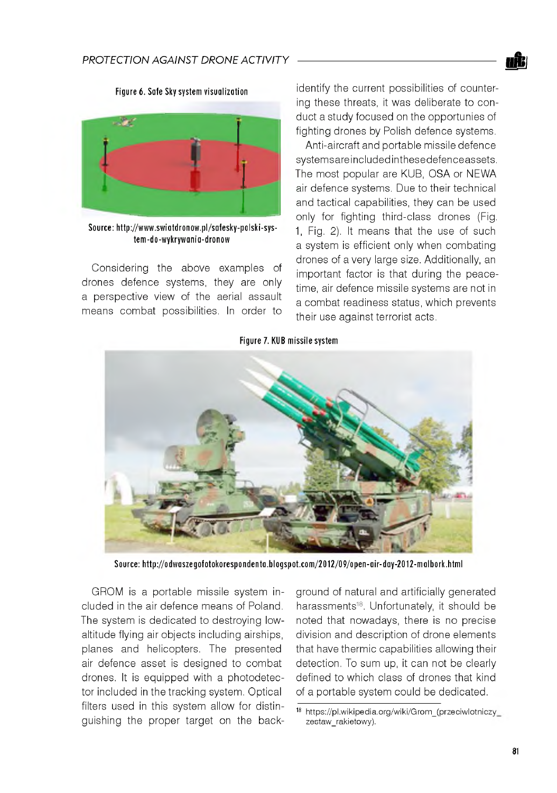**Figure 6. Safe Sky system visualization** 



Source: http://www.swiatdronow.pl/safesky-polski-sys**te m -d o -w y k ry w a n ia -d ro n o w**

Considering the above examples of drones defence systems, they are only a perspective view of the aerial assault means combat possibilities. In order to identify the current possibilities of countering these threats, it was deliberate to conduct a study focused on the opportunies of fighting drones by Polish defence systems.

Anti-aircraft and portable missile defence systemsareincluded inthesedefence assets. The most popular are KUB, OSA or NEWA air defence systems. Due to their technical and tactical capabilities, they can be used only for fighting third-class drones (Fig. 1, Fig. 2). It means that the use of such a system is efficient only when combating drones of a very large size. Additionally, an important factor is that during the peacetime, air defence missile systems are not in a combat readiness status, which prevents their use against terrorist acts.





Source: http://odwaszeqofotokorespondenta.blogspot.com/2012/09/open-air-day-2012-malbork.html

GROM is a portable missile system included in the air defence means of Poland. The system is dedicated to destroying lowaltitude flying air objects including airships, planes and helicopters. The presented air defence asset is designed to combat drones. It is equipped with a photodetector included in the tracking system. Optical filters used in this system allow for distinguishing the proper target on the background of natural and artificially generated harassments<sup>18</sup>. Unfortunately, it should be noted that nowadays, there is no precise division and description of drone elements that have thermic capabilities allowing their detection. To sum up, it can not be clearly defined to which class of drones that kind of a portable system could be dedicated.

<sup>18</sup> https://pl.wikipedia.org/wiki/Grom\_(przeciwlotniczy\_ zestaw\_rakietowy).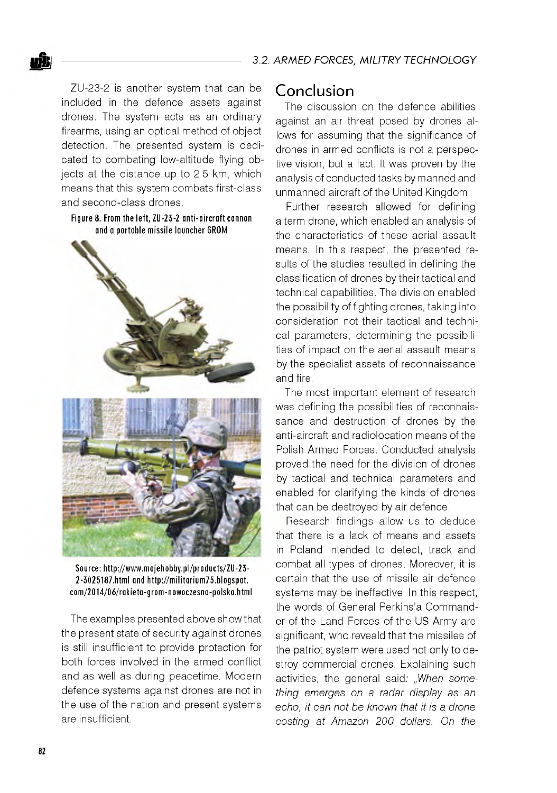ZU-23-2 is another system that can be included in the defence assets against drones. The system acts as an ordinary firearms, using an optical method of object detection. The presented system is dedicated to combating low-altitude flying objects at the distance up to 2.5 km, which means that this system combats first-class and second-class drones.

#### Figure 8. From the left, **ZU-23-2** anti-aircraft cannon **and a p o rta b le m is s ile la u n c h e r GROM**



Source: http://www.mojehobby.pl/products/ZU-23-**2 -3 0 2 5 1 8 7 .h tm l and [h ttp ://m ilita r iu m 7 5 .b lo g s p o t](http://militarium75.blogspot). c o m /2 0 1 4 /0 6 /r a k ie ta -g r o m -n o w o c z e s n a -p o ls k a .h tm l**

The examples presented above show that the present state of security against drones is still insufficient to provide protection for both forces involved in the armed conflict and as well as during peacetime. Modern defence systems against drones are not in the use of the nation and present systems are insufficient.

### Conclusion

The discussion on the defence abilities against an air threat posed by drones allows for assuming that the significance of drones in armed conflicts is not a perspective vision, but a fact. It was proven by the analysis of conducted tasks by manned and unmanned aircraft of the United Kingdom.

Further research allowed for defining a term drone, which enabled an analysis of the characteristics of these aerial assault means. In this respect, the presented results of the studies resulted in defining the classification of drones by their tactical and technical capabilities. The division enabled the possibility of fighting drones, taking into consideration not their tactical and technical parameters, determining the possibilities of impact on the aerial assault means by the specialist assets of reconnaissance and fire.

The most important element of research was defining the possibilities of reconnaissance and destruction of drones by the anti-aircraft and radiolocation means of the Polish Armed Forces. Conducted analysis proved the need for the division of drones by tactical and technical parameters and enabled for clarifying the kinds of drones that can be destroyed by air defence.

Research findings allow us to deduce that there is a lack of means and assets in Poland intended to detect, track and combat all types of drones. Moreover, it is certain that the use of missile air defence systems may be ineffective. In this respect, the words of General Perkins'a Commander of the Land Forces of the US Army are significant, who reveald that the missiles of the patriot system were used not only to destroy commercial drones. Explaining such activities, the general said: *"When something emerges on a radar display as an echo, it can not be known that it is a drone costing at Amazon 200 dollars. On the*